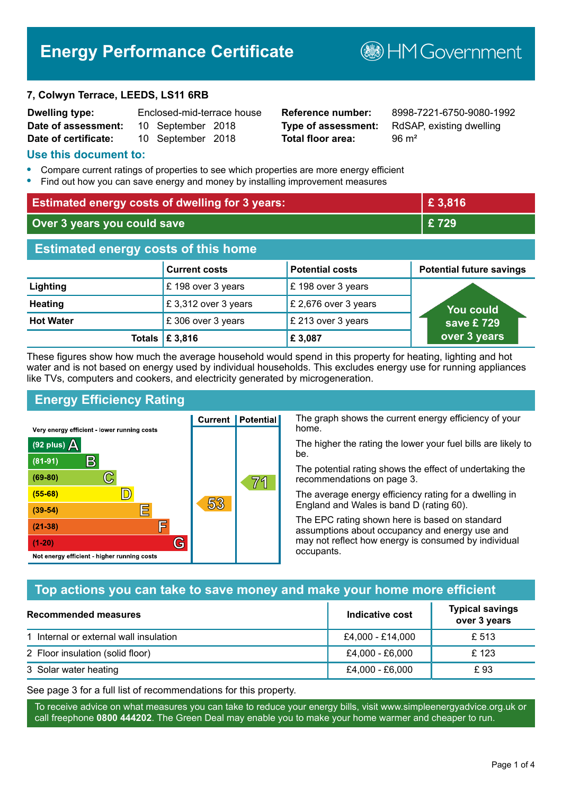# **Energy Performance Certificate**

#### **7, Colwyn Terrace, LEEDS, LS11 6RB**

| <b>Dwelling type:</b> | Enclosed-mid-terrace house |                   |  |
|-----------------------|----------------------------|-------------------|--|
| Date of assessment:   |                            | 10 September 2018 |  |
| Date of certificate:  |                            | 10 September 2018 |  |

# **Total floor area:** 96 m<sup>2</sup>

**Reference number:** 8998-7221-6750-9080-1992 **Type of assessment:** RdSAP, existing dwelling

**B**HM Government

#### **Use this document to:**

- **•** Compare current ratings of properties to see which properties are more energy efficient
- **•** Find out how you can save energy and money by installing improvement measures

| <b>Estimated energy costs of dwelling for 3 years:</b> |                           |                        | £3,816                          |
|--------------------------------------------------------|---------------------------|------------------------|---------------------------------|
| Over 3 years you could save                            |                           |                        | £729                            |
| <b>Estimated energy costs of this home</b>             |                           |                        |                                 |
|                                                        | <b>Current costs</b>      | <b>Potential costs</b> | <b>Potential future savings</b> |
| Lighting                                               | £198 over 3 years         | £198 over 3 years      |                                 |
| <b>Heating</b>                                         | £3,312 over 3 years       | £ 2,676 over 3 years   | <b>You could</b>                |
| <b>Hot Water</b>                                       | £306 over 3 years         | £ 213 over 3 years     | save £ $729$                    |
|                                                        | Totals $\mathsf{E}$ 3,816 | £3,087                 | over 3 years                    |

These figures show how much the average household would spend in this property for heating, lighting and hot water and is not based on energy used by individual households. This excludes energy use for running appliances like TVs, computers and cookers, and electricity generated by microgeneration.

**Current | Potential** 

53

# **Energy Efficiency Rating**

 $\mathbb{C}$ 

 $\mathbb{D}$ 

E

庐

G

Very energy efficient - lower running costs

R

Not energy efficient - higher running costs

(92 plus)  $\Delta$ 

 $(81 - 91)$ 

 $(69 - 80)$ 

 $(55-68)$ 

 $(39 - 54)$ 

 $(21-38)$ 

 $(1-20)$ 

The graph shows the current energy efficiency of your home.

The higher the rating the lower your fuel bills are likely to be.

The potential rating shows the effect of undertaking the recommendations on page 3.

The average energy efficiency rating for a dwelling in England and Wales is band D (rating 60).

The EPC rating shown here is based on standard assumptions about occupancy and energy use and may not reflect how energy is consumed by individual occupants.

## **Top actions you can take to save money and make your home more efficient**

71

| <b>Recommended measures</b>            | Indicative cost  | <b>Typical savings</b><br>over 3 years |
|----------------------------------------|------------------|----------------------------------------|
| 1 Internal or external wall insulation | £4,000 - £14,000 | £ 513                                  |
| 2 Floor insulation (solid floor)       | £4,000 - £6,000  | £123                                   |
| 3 Solar water heating                  | £4,000 - £6,000  | £ 93                                   |

See page 3 for a full list of recommendations for this property.

To receive advice on what measures you can take to reduce your energy bills, visit www.simpleenergyadvice.org.uk or call freephone **0800 444202**. The Green Deal may enable you to make your home warmer and cheaper to run.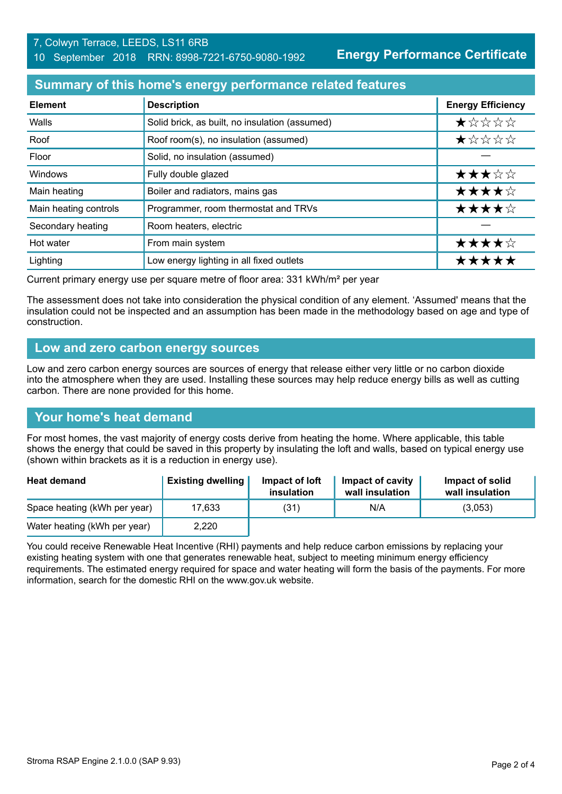**Energy Performance Certificate**

## **Summary of this home's energy performance related features**

| <b>Element</b>        | <b>Description</b>                             | <b>Energy Efficiency</b> |
|-----------------------|------------------------------------------------|--------------------------|
| Walls                 | Solid brick, as built, no insulation (assumed) | *****                    |
| Roof                  | Roof room(s), no insulation (assumed)          | *****                    |
| Floor                 | Solid, no insulation (assumed)                 |                          |
| Windows               | Fully double glazed                            | ★★★☆☆                    |
| Main heating          | Boiler and radiators, mains gas                | ★★★★☆                    |
| Main heating controls | Programmer, room thermostat and TRVs           | ★★★★☆                    |
| Secondary heating     | Room heaters, electric                         |                          |
| Hot water             | From main system                               | ★★★★☆                    |
| Lighting              | Low energy lighting in all fixed outlets       | *****                    |

Current primary energy use per square metre of floor area: 331 kWh/m² per year

The assessment does not take into consideration the physical condition of any element. 'Assumed' means that the insulation could not be inspected and an assumption has been made in the methodology based on age and type of construction.

#### **Low and zero carbon energy sources**

Low and zero carbon energy sources are sources of energy that release either very little or no carbon dioxide into the atmosphere when they are used. Installing these sources may help reduce energy bills as well as cutting carbon. There are none provided for this home.

## **Your home's heat demand**

For most homes, the vast majority of energy costs derive from heating the home. Where applicable, this table shows the energy that could be saved in this property by insulating the loft and walls, based on typical energy use (shown within brackets as it is a reduction in energy use).

| <b>Heat demand</b>           | <b>Existing dwelling</b> | Impact of loft<br>insulation | Impact of cavity<br>wall insulation | Impact of solid<br>wall insulation |
|------------------------------|--------------------------|------------------------------|-------------------------------------|------------------------------------|
| Space heating (kWh per year) | 17.633                   | (31)                         | N/A                                 | (3,053)                            |
| Water heating (kWh per year) | 2,220                    |                              |                                     |                                    |

You could receive Renewable Heat Incentive (RHI) payments and help reduce carbon emissions by replacing your existing heating system with one that generates renewable heat, subject to meeting minimum energy efficiency requirements. The estimated energy required for space and water heating will form the basis of the payments. For more information, search for the domestic RHI on the www.gov.uk website.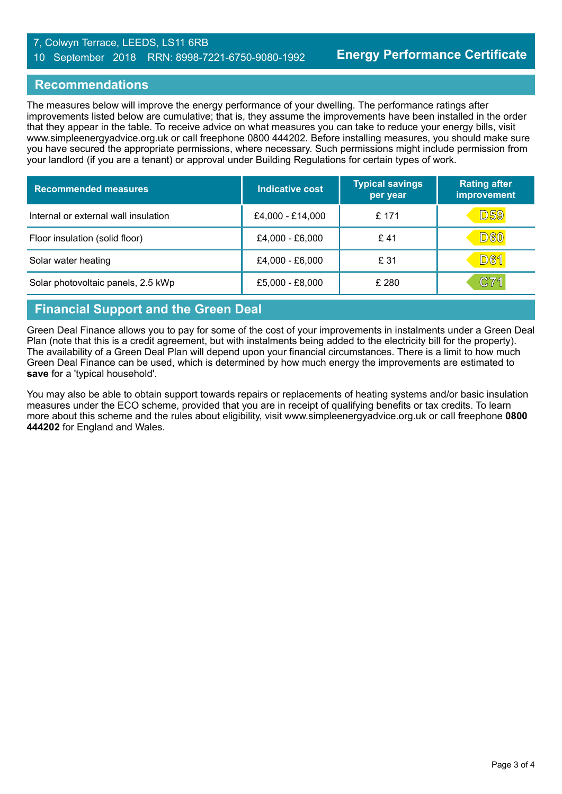#### 7, Colwyn Terrace, LEEDS, LS11 6RB 10 September 2018 RRN: 8998-7221-6750-9080-1992

#### **Recommendations**

The measures below will improve the energy performance of your dwelling. The performance ratings after improvements listed below are cumulative; that is, they assume the improvements have been installed in the order that they appear in the table. To receive advice on what measures you can take to reduce your energy bills, visit www.simpleenergyadvice.org.uk or call freephone 0800 444202. Before installing measures, you should make sure you have secured the appropriate permissions, where necessary. Such permissions might include permission from your landlord (if you are a tenant) or approval under Building Regulations for certain types of work.

| <b>Recommended measures</b>          | Indicative cost  | <b>Typical savings</b><br>per year | <b>Rating after</b><br>improvement |
|--------------------------------------|------------------|------------------------------------|------------------------------------|
| Internal or external wall insulation | £4,000 - £14,000 | £171                               | <b>D59</b>                         |
| Floor insulation (solid floor)       | £4,000 - £6,000  | £ 41                               | D60                                |
| Solar water heating                  | £4,000 - £6,000  | £ 31                               | <b>D61</b>                         |
| Solar photovoltaic panels, 2.5 kWp   | £5,000 - £8,000  | £ 280                              | C71                                |

# **Financial Support and the Green Deal**

Green Deal Finance allows you to pay for some of the cost of your improvements in instalments under a Green Deal Plan (note that this is a credit agreement, but with instalments being added to the electricity bill for the property). The availability of a Green Deal Plan will depend upon your financial circumstances. There is a limit to how much Green Deal Finance can be used, which is determined by how much energy the improvements are estimated to **save** for a 'typical household'.

You may also be able to obtain support towards repairs or replacements of heating systems and/or basic insulation measures under the ECO scheme, provided that you are in receipt of qualifying benefits or tax credits. To learn more about this scheme and the rules about eligibility, visit www.simpleenergyadvice.org.uk or call freephone **0800 444202** for England and Wales.